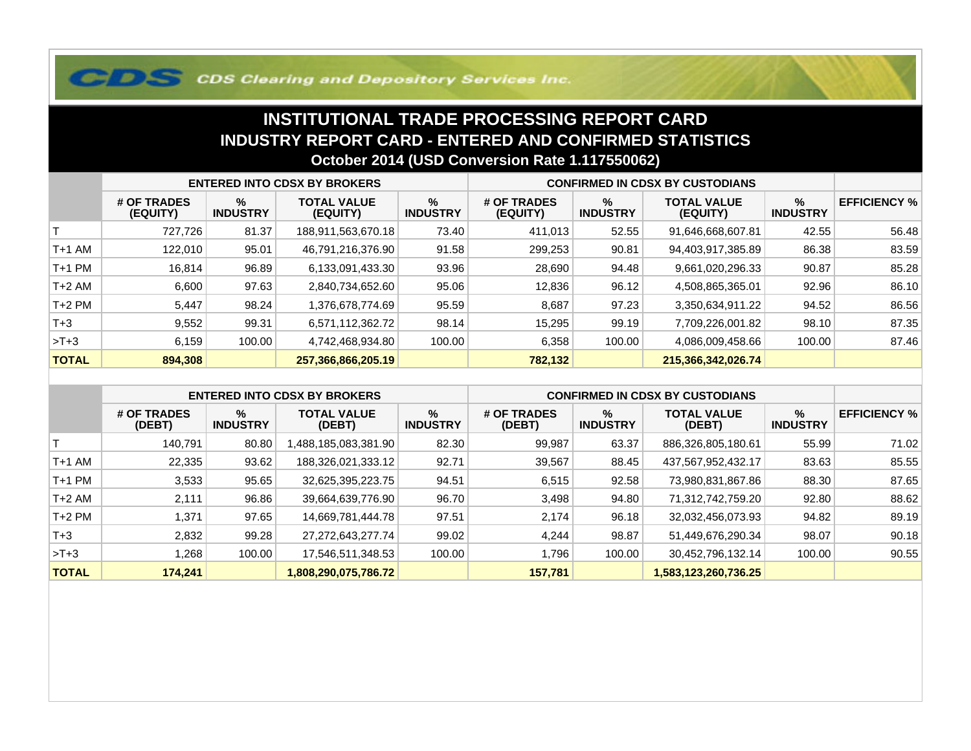## **COS Clearing and Depository Services Inc.**

## **INSTITUTIONAL TRADE PROCESSING REPORT CARD INDUSTRY REPORT CARD - ENTERED AND CONFIRMED STATISTICSOctober 2014 (USD Conversion Rate 1.117550062)**

|              | <b>ENTERED INTO CDSX BY BROKERS</b> |                         |                                |                         | <b>CONFIRMED IN CDSX BY CUSTODIANS</b> |                         |                                |                      |                     |
|--------------|-------------------------------------|-------------------------|--------------------------------|-------------------------|----------------------------------------|-------------------------|--------------------------------|----------------------|---------------------|
|              | # OF TRADES<br>(EQUITY)             | $\%$<br><b>INDUSTRY</b> | <b>TOTAL VALUE</b><br>(EQUITY) | $\%$<br><b>INDUSTRY</b> | # OF TRADES<br>(EQUITY)                | $\%$<br><b>INDUSTRY</b> | <b>TOTAL VALUE</b><br>(EQUITY) | %<br><b>INDUSTRY</b> | <b>EFFICIENCY %</b> |
|              | 727,726                             | 81.37                   | 188,911,563,670.18             | 73.40                   | 411,013                                | 52.55                   | 91,646,668,607.81              | 42.55                | 56.48               |
| T+1 AM       | 122,010                             | 95.01                   | 46,791,216,376.90              | 91.58                   | 299,253                                | 90.81                   | 94,403,917,385.89              | 86.38                | 83.59               |
| T+1 PM       | 16,814                              | 96.89                   | 6,133,091,433.30               | 93.96                   | 28,690                                 | 94.48                   | 9,661,020,296.33               | 90.87                | 85.28               |
| T+2 AM       | 6,600                               | 97.63                   | 2,840,734,652.60               | 95.06                   | 12,836                                 | 96.12                   | 4,508,865,365.01               | 92.96                | 86.10               |
| $T+2$ PM     | 5,447                               | 98.24                   | 1,376,678,774.69               | 95.59                   | 8,687                                  | 97.23                   | 3,350,634,911.22               | 94.52                | 86.56               |
| $T+3$        | 9,552                               | 99.31                   | 6,571,112,362.72               | 98.14                   | 15,295                                 | 99.19                   | 7,709,226,001.82               | 98.10                | 87.35               |
| $>T+3$       | 6,159                               | 100.00                  | 4,742,468,934.80               | 100.00                  | 6,358                                  | 100.00                  | 4,086,009,458.66               | 100.00               | 87.46               |
| <b>TOTAL</b> | 894,308                             |                         | 257,366,866,205.19             |                         | 782,132                                |                         | 215,366,342,026.74             |                      |                     |

|              | <b>ENTERED INTO CDSX BY BROKERS</b> |                         |                              |                         | <b>CONFIRMED IN CDSX BY CUSTODIANS</b> |                         |                              |                         |                     |
|--------------|-------------------------------------|-------------------------|------------------------------|-------------------------|----------------------------------------|-------------------------|------------------------------|-------------------------|---------------------|
|              | # OF TRADES<br>(DEBT)               | $\%$<br><b>INDUSTRY</b> | <b>TOTAL VALUE</b><br>(DEBT) | $\%$<br><b>INDUSTRY</b> | # OF TRADES<br>(DEBT)                  | $\%$<br><b>INDUSTRY</b> | <b>TOTAL VALUE</b><br>(DEBT) | $\%$<br><b>INDUSTRY</b> | <b>EFFICIENCY %</b> |
|              | 140.791                             | 80.80                   | 1,488,185,083,381.90         | 82.30                   | 99,987                                 | 63.37                   | 886,326,805,180.61           | 55.99                   | 71.02               |
| $T+1$ AM     | 22,335                              | 93.62                   | 188,326,021,333.12           | 92.71                   | 39,567                                 | 88.45                   | 437,567,952,432.17           | 83.63                   | 85.55               |
| $T+1$ PM     | 3,533                               | 95.65                   | 32,625,395,223.75            | 94.51                   | 6,515                                  | 92.58                   | 73,980,831,867.86            | 88.30                   | 87.65               |
| $T+2$ AM     | 2,111                               | 96.86                   | 39,664,639,776.90            | 96.70                   | 3,498                                  | 94.80                   | 71,312,742,759.20            | 92.80                   | 88.62               |
| $T+2$ PM     | 1,371                               | 97.65                   | 14,669,781,444.78            | 97.51                   | 2,174                                  | 96.18                   | 32,032,456,073.93            | 94.82                   | 89.19               |
| $T + 3$      | 2,832                               | 99.28                   | 27, 272, 643, 277. 74        | 99.02                   | 4.244                                  | 98.87                   | 51,449,676,290.34            | 98.07                   | 90.18               |
| $>T+3$       | 1,268                               | 100.00                  | 17,546,511,348.53            | 100.00                  | .796                                   | 100.00                  | 30,452,796,132.14            | 100.00                  | 90.55               |
| <b>TOTAL</b> | 174,241                             |                         | 1,808,290,075,786.72         |                         | 157,781                                |                         | 1,583,123,260,736.25         |                         |                     |